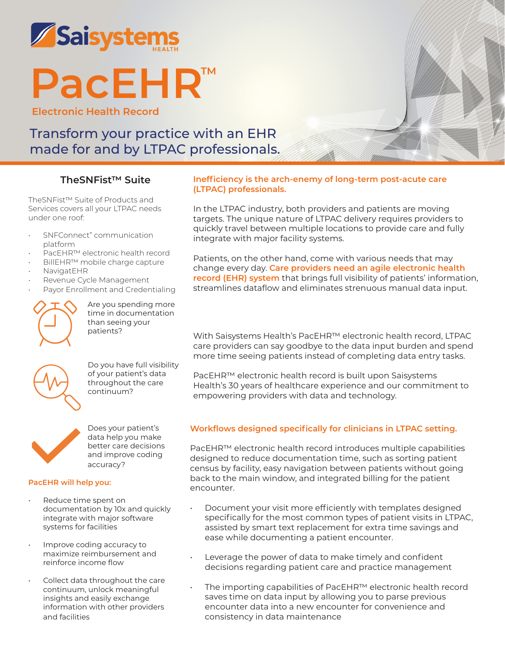

# **PacEHR™**

**Electronic Health Record**

# Transform your practice with an EHR made for and by LTPAC professionals.

## **TheSNFist™ Suite**

TheSNFist™ Suite of Products and Services covers all your LTPAC needs under one roof:

- SNFConnect" communication platform
- PacEHR™ electronic health record
- BillEHR™ mobile charge capture
- NavigatEHR
- Revenue Cycle Management
- Payor Enrollment and Credentialing



Are you spending more time in documentation than seeing your patients?



Do you have full visibility of your patient's data throughout the care continuum?



Does your patient's data help you make better care decisions and improve coding accuracy?

#### **PacEHR will help you:**

- Reduce time spent on documentation by 10x and quickly integrate with major software systems for facilities
- Improve coding accuracy to maximize reimbursement and reinforce income flow
- Collect data throughout the care continuum, unlock meaningful insights and easily exchange information with other providers and facilities

#### **Inefficiency is the arch-enemy of long-term post-acute care (LTPAC) professionals.**

In the LTPAC industry, both providers and patients are moving targets. The unique nature of LTPAC delivery requires providers to quickly travel between multiple locations to provide care and fully integrate with major facility systems.

Patients, on the other hand, come with various needs that may change every day. **Care providers need an agile electronic health record (EHR) system** that brings full visibility of patients' information, streamlines dataflow and eliminates strenuous manual data input.

With Saisystems Health's PacEHR™ electronic health record, LTPAC care providers can say goodbye to the data input burden and spend more time seeing patients instead of completing data entry tasks.

PacEHR™ electronic health record is built upon Saisystems Health's 30 years of healthcare experience and our commitment to empowering providers with data and technology.

### **Workflows designed specifically for clinicians in LTPAC setting.**

PacEHR™ electronic health record introduces multiple capabilities designed to reduce documentation time, such as sorting patient census by facility, easy navigation between patients without going back to the main window, and integrated billing for the patient encounter.

- Document your visit more efficiently with templates designed specifically for the most common types of patient visits in LTPAC, assisted by smart text replacement for extra time savings and ease while documenting a patient encounter.
- Leverage the power of data to make timely and confident decisions regarding patient care and practice management
- The importing capabilities of PacEHR™ electronic health record saves time on data input by allowing you to parse previous encounter data into a new encounter for convenience and consistency in data maintenance